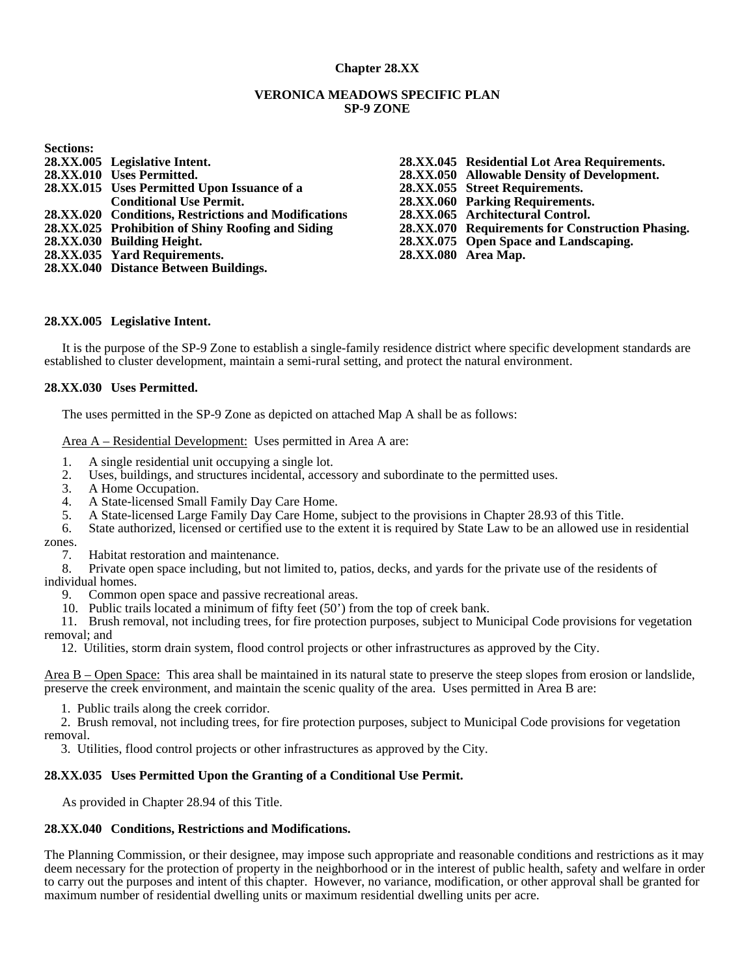## **Chapter 28.XX**

#### **VERONICA MEADOWS SPECIFIC PLAN SP-9 ZONE**

| <b>Sections:</b> |                                                      |
|------------------|------------------------------------------------------|
|                  | 28.XX.005 Legislative Intent.                        |
|                  | 28.XX.010 Uses Permitted.                            |
|                  | 28.XX.015 Uses Permitted Upon Issuance of a          |
|                  | <b>Conditional Use Permit.</b>                       |
|                  | 28.XX.020 Conditions, Restrictions and Modifications |
|                  | 28.XX.025 Prohibition of Shiny Roofing and Siding    |
|                  | 28.XX.030 Building Height.                           |
|                  | 28.XX.035 Yard Requirements.                         |
|                  | 28.XX.040 Distance Between Buildings.                |

**28.XX.045 Residential Lot Area Requirements. 28.XX.050 Allowable Density of Development. 28.XX.055 Street Requirements. 28.XX.060 Parking Requirements. 28.XX.065 Architectural Control. 28.XX.070 Requirements for Construction Phasing. 28.XX.075 Open Space and Landscaping. 28.XX.080 Area Map.** 

#### **28.XX.005 Legislative Intent.**

 It is the purpose of the SP-9 Zone to establish a single-family residence district where specific development standards are established to cluster development, maintain a semi-rural setting, and protect the natural environment.

#### **28.XX.030 Uses Permitted.**

The uses permitted in the SP-9 Zone as depicted on attached Map A shall be as follows:

Area A – Residential Development: Uses permitted in Area A are:

- 1. A single residential unit occupying a single lot.<br>2. Uses, buildings, and structures incidental, acces
- 2. Uses, buildings, and structures incidental, accessory and subordinate to the permitted uses.<br>3. A Home Occupation.
- A Home Occupation.
- 4. A State-licensed Small Family Day Care Home.
- 5. A State-licensed Large Family Day Care Home, subject to the provisions in Chapter 28.93 of this Title.
- 6. State authorized, licensed or certified use to the extent it is required by State Law to be an allowed use in residential zones.
	- 7. Habitat restoration and maintenance.

 8. Private open space including, but not limited to, patios, decks, and yards for the private use of the residents of individual homes.

9. Common open space and passive recreational areas.

10. Public trails located a minimum of fifty feet (50') from the top of creek bank.

11. Brush removal, not including trees, for fire protection purposes, subject to Municipal Code provisions for vegetation removal; and

12. Utilities, storm drain system, flood control projects or other infrastructures as approved by the City.

Area B – Open Space: This area shall be maintained in its natural state to preserve the steep slopes from erosion or landslide, preserve the creek environment, and maintain the scenic quality of the area. Uses permitted in Area B are:

1. Public trails along the creek corridor.

2. Brush removal, not including trees, for fire protection purposes, subject to Municipal Code provisions for vegetation removal.

3. Utilities, flood control projects or other infrastructures as approved by the City.

#### **28.XX.035 Uses Permitted Upon the Granting of a Conditional Use Permit.**

As provided in Chapter 28.94 of this Title.

#### **28.XX.040 Conditions, Restrictions and Modifications.**

The Planning Commission, or their designee, may impose such appropriate and reasonable conditions and restrictions as it may deem necessary for the protection of property in the neighborhood or in the interest of public health, safety and welfare in order to carry out the purposes and intent of this chapter. However, no variance, modification, or other approval shall be granted for maximum number of residential dwelling units or maximum residential dwelling units per acre.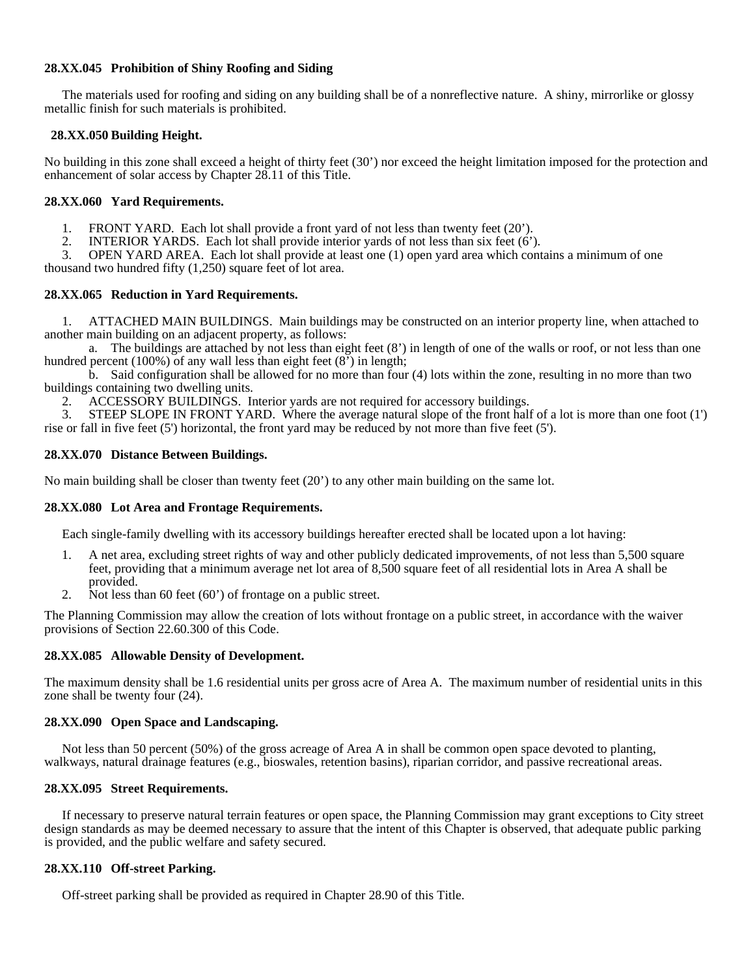## **28.XX.045 Prohibition of Shiny Roofing and Siding**

The materials used for roofing and siding on any building shall be of a nonreflective nature. A shiny, mirrorlike or glossy metallic finish for such materials is prohibited.

## **28.XX.050 Building Height.**

No building in this zone shall exceed a height of thirty feet (30') nor exceed the height limitation imposed for the protection and enhancement of solar access by Chapter 28.11 of this Title.

## **28.XX.060 Yard Requirements.**

1. FRONT YARD. Each lot shall provide a front yard of not less than twenty feet (20').

2. INTERIOR YARDS. Each lot shall provide interior yards of not less than six feet (6').

 3. OPEN YARD AREA. Each lot shall provide at least one (1) open yard area which contains a minimum of one thousand two hundred fifty (1,250) square feet of lot area.

# **28.XX.065 Reduction in Yard Requirements.**

 1. ATTACHED MAIN BUILDINGS. Main buildings may be constructed on an interior property line, when attached to another main building on an adjacent property, as follows:

 a. The buildings are attached by not less than eight feet (8') in length of one of the walls or roof, or not less than one hundred percent (100%) of any wall less than eight feet (8<sup>'</sup>) in length;

 b. Said configuration shall be allowed for no more than four (4) lots within the zone, resulting in no more than two buildings containing two dwelling units.

2. ACCESSORY BUILDINGS. Interior yards are not required for accessory buildings.<br>3. STEEP SLOPE IN FRONT YARD. Where the average natural slope of the front half

 3. STEEP SLOPE IN FRONT YARD. Where the average natural slope of the front half of a lot is more than one foot (1') rise or fall in five feet (5') horizontal, the front yard may be reduced by not more than five feet (5').

# **28.XX.070 Distance Between Buildings.**

No main building shall be closer than twenty feet (20') to any other main building on the same lot.

### **28.XX.080 Lot Area and Frontage Requirements.**

Each single-family dwelling with its accessory buildings hereafter erected shall be located upon a lot having:

- 1. A net area, excluding street rights of way and other publicly dedicated improvements, of not less than 5,500 square feet, providing that a minimum average net lot area of 8,500 square feet of all residential lots in Area A shall be provided.
- 2. Not less than 60 feet (60') of frontage on a public street.

The Planning Commission may allow the creation of lots without frontage on a public street, in accordance with the waiver provisions of Section 22.60.300 of this Code.

## **28.XX.085 Allowable Density of Development.**

The maximum density shall be 1.6 residential units per gross acre of Area A. The maximum number of residential units in this zone shall be twenty four (24).

# **28.XX.090 Open Space and Landscaping.**

Not less than 50 percent (50%) of the gross acreage of Area A in shall be common open space devoted to planting, walkways, natural drainage features (e.g., bioswales, retention basins), riparian corridor, and passive recreational areas.

### **28.XX.095 Street Requirements.**

 If necessary to preserve natural terrain features or open space, the Planning Commission may grant exceptions to City street design standards as may be deemed necessary to assure that the intent of this Chapter is observed, that adequate public parking is provided, and the public welfare and safety secured.

### **28.XX.110 Off-street Parking.**

Off-street parking shall be provided as required in Chapter 28.90 of this Title.